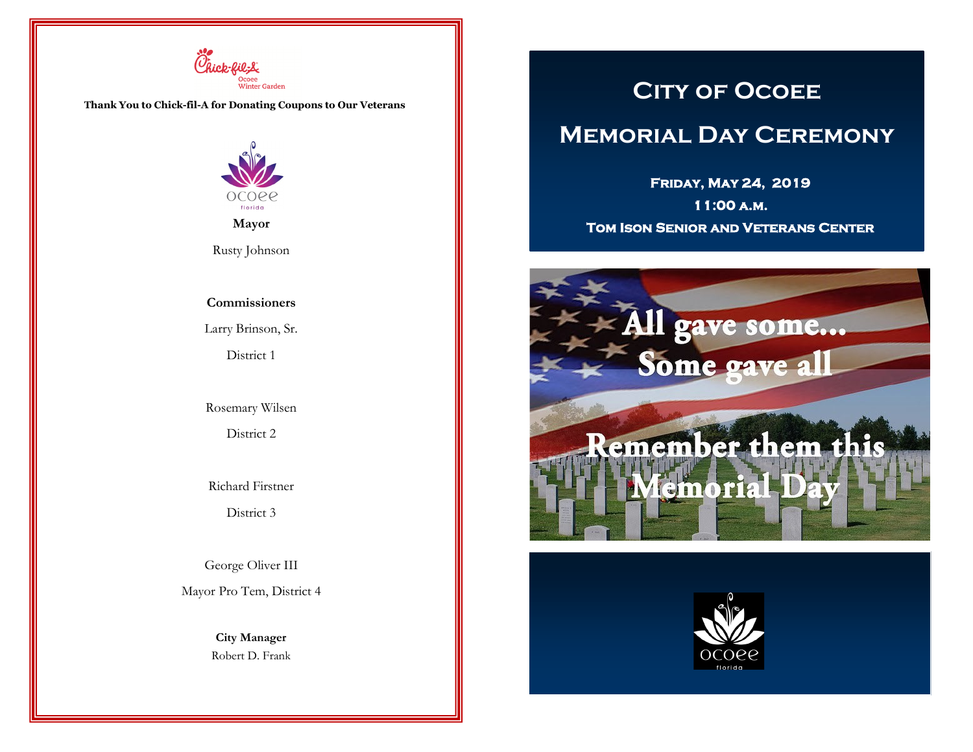

**Thank You to Chick-fil-A for Donating Coupons to Our Veterans**



**Mayor**

Rusty Johnson

#### **Commissioners**

Larry Brinson, Sr.

District 1

Rosemary Wilsen

District 2

Richard Firstner

District 3

George Oliver III

Mayor Pro Tem, District 4

**City Manager** Robert D. Frank

# **City of Ocoee**

# **Memorial Day Ceremony**

**Friday, May 24, 2019** 

**11:00 a.m. Tom Ison Senior and Veterans Center**